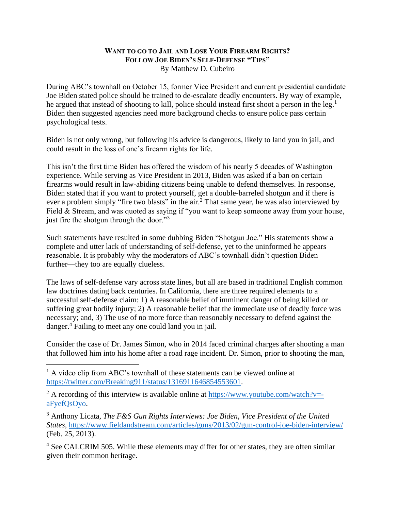## **WANT TO GO TO JAIL AND LOSE YOUR FIREARM RIGHTS? FOLLOW JOE BIDEN'S SELF-DEFENSE "TIPS"** By Matthew D. Cubeiro

During ABC's townhall on October 15, former Vice President and current presidential candidate Joe Biden stated police should be trained to de-escalate deadly encounters. By way of example, he argued that instead of shooting to kill, police should instead first shoot a person in the leg.<sup>1</sup> Biden then suggested agencies need more background checks to ensure police pass certain psychological tests.

Biden is not only wrong, but following his advice is dangerous, likely to land you in jail, and could result in the loss of one's firearm rights for life.

This isn't the first time Biden has offered the wisdom of his nearly 5 decades of Washington experience. While serving as Vice President in 2013, Biden was asked if a ban on certain firearms would result in law-abiding citizens being unable to defend themselves. In response, Biden stated that if you want to protect yourself, get a double-barreled shotgun and if there is ever a problem simply "fire two blasts" in the air.<sup>2</sup> That same year, he was also interviewed by Field & Stream, and was quoted as saying if "you want to keep someone away from your house, just fire the shotgun through the door."<sup>3</sup>

Such statements have resulted in some dubbing Biden "Shotgun Joe." His statements show a complete and utter lack of understanding of self-defense, yet to the uninformed he appears reasonable. It is probably why the moderators of ABC's townhall didn't question Biden further—they too are equally clueless.

The laws of self-defense vary across state lines, but all are based in traditional English common law doctrines dating back centuries. In California, there are three required elements to a successful self-defense claim: 1) A reasonable belief of imminent danger of being killed or suffering great bodily injury; 2) A reasonable belief that the immediate use of deadly force was necessary; and, 3) The use of no more force than reasonably necessary to defend against the danger.<sup>4</sup> Failing to meet any one could land you in jail.

Consider the case of Dr. James Simon, who in 2014 faced criminal charges after shooting a man that followed him into his home after a road rage incident. Dr. Simon, prior to shooting the man,

<sup>3</sup> Anthony Licata, *The F&S Gun Rights Interviews: Joe Biden, Vice President of the United States*,<https://www.fieldandstream.com/articles/guns/2013/02/gun-control-joe-biden-interview/> (Feb. 25, 2013).

<sup>4</sup> See CALCRIM 505. While these elements may differ for other states, they are often similar given their common heritage.

<sup>&</sup>lt;sup>1</sup> A video clip from ABC's townhall of these statements can be viewed online at [https://twitter.com/Breaking911/status/1316911646854553601.](https://twitter.com/Breaking911/status/1316911646854553601)

<sup>&</sup>lt;sup>2</sup> A recording of this interview is available online at [https://www.youtube.com/watch?v=](https://www.youtube.com/watch?v=-aFyefQsOyo) [aFyefQsOyo.](https://www.youtube.com/watch?v=-aFyefQsOyo)